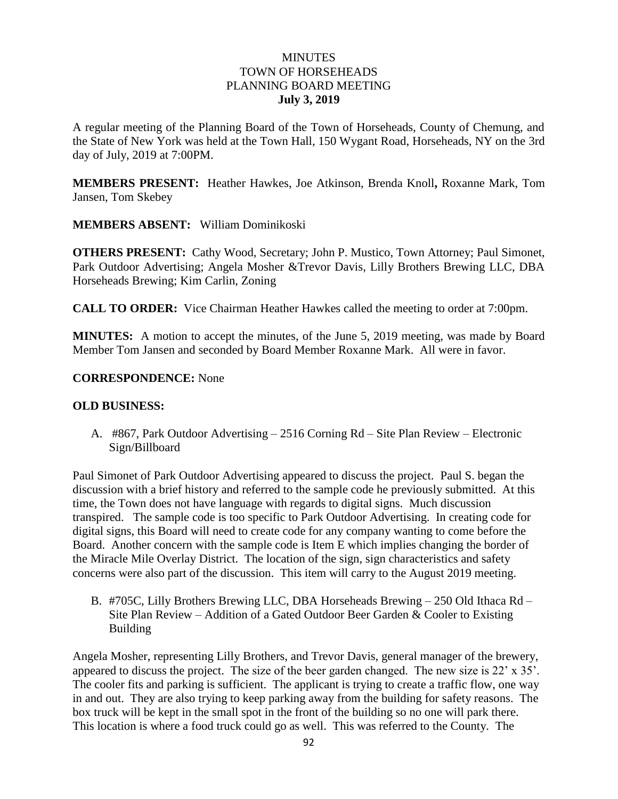### **MINUTES** TOWN OF HORSEHEADS PLANNING BOARD MEETING **July 3, 2019**

A regular meeting of the Planning Board of the Town of Horseheads, County of Chemung, and the State of New York was held at the Town Hall, 150 Wygant Road, Horseheads, NY on the 3rd day of July, 2019 at 7:00PM.

**MEMBERS PRESENT:** Heather Hawkes, Joe Atkinson, Brenda Knoll**,** Roxanne Mark, Tom Jansen, Tom Skebey

**MEMBERS ABSENT:** William Dominikoski

**OTHERS PRESENT:** Cathy Wood, Secretary; John P. Mustico, Town Attorney; Paul Simonet, Park Outdoor Advertising; Angela Mosher &Trevor Davis, Lilly Brothers Brewing LLC, DBA Horseheads Brewing; Kim Carlin, Zoning

**CALL TO ORDER:** Vice Chairman Heather Hawkes called the meeting to order at 7:00pm.

**MINUTES:** A motion to accept the minutes, of the June 5, 2019 meeting, was made by Board Member Tom Jansen and seconded by Board Member Roxanne Mark. All were in favor.

### **CORRESPONDENCE:** None

### **OLD BUSINESS:**

A. #867, Park Outdoor Advertising – 2516 Corning Rd – Site Plan Review – Electronic Sign/Billboard

Paul Simonet of Park Outdoor Advertising appeared to discuss the project. Paul S. began the discussion with a brief history and referred to the sample code he previously submitted. At this time, the Town does not have language with regards to digital signs. Much discussion transpired. The sample code is too specific to Park Outdoor Advertising. In creating code for digital signs, this Board will need to create code for any company wanting to come before the Board. Another concern with the sample code is Item E which implies changing the border of the Miracle Mile Overlay District. The location of the sign, sign characteristics and safety concerns were also part of the discussion. This item will carry to the August 2019 meeting.

B. #705C, Lilly Brothers Brewing LLC, DBA Horseheads Brewing – 250 Old Ithaca Rd – Site Plan Review – Addition of a Gated Outdoor Beer Garden & Cooler to Existing Building

Angela Mosher, representing Lilly Brothers, and Trevor Davis, general manager of the brewery, appeared to discuss the project. The size of the beer garden changed. The new size is 22' x 35'. The cooler fits and parking is sufficient. The applicant is trying to create a traffic flow, one way in and out. They are also trying to keep parking away from the building for safety reasons. The box truck will be kept in the small spot in the front of the building so no one will park there. This location is where a food truck could go as well. This was referred to the County. The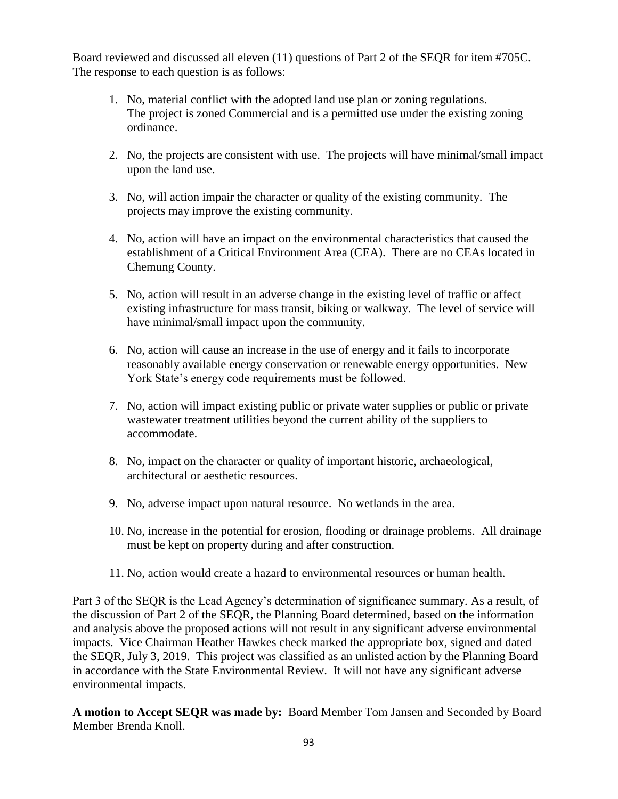Board reviewed and discussed all eleven (11) questions of Part 2 of the SEQR for item #705C. The response to each question is as follows:

- 1. No, material conflict with the adopted land use plan or zoning regulations. The project is zoned Commercial and is a permitted use under the existing zoning ordinance.
- 2. No, the projects are consistent with use. The projects will have minimal/small impact upon the land use.
- 3. No, will action impair the character or quality of the existing community. The projects may improve the existing community.
- 4. No, action will have an impact on the environmental characteristics that caused the establishment of a Critical Environment Area (CEA). There are no CEAs located in Chemung County.
- 5. No, action will result in an adverse change in the existing level of traffic or affect existing infrastructure for mass transit, biking or walkway. The level of service will have minimal/small impact upon the community.
- 6. No, action will cause an increase in the use of energy and it fails to incorporate reasonably available energy conservation or renewable energy opportunities. New York State's energy code requirements must be followed.
- 7. No, action will impact existing public or private water supplies or public or private wastewater treatment utilities beyond the current ability of the suppliers to accommodate.
- 8. No, impact on the character or quality of important historic, archaeological, architectural or aesthetic resources.
- 9. No, adverse impact upon natural resource. No wetlands in the area.
- 10. No, increase in the potential for erosion, flooding or drainage problems. All drainage must be kept on property during and after construction.
- 11. No, action would create a hazard to environmental resources or human health.

Part 3 of the SEQR is the Lead Agency's determination of significance summary. As a result, of the discussion of Part 2 of the SEQR, the Planning Board determined, based on the information and analysis above the proposed actions will not result in any significant adverse environmental impacts. Vice Chairman Heather Hawkes check marked the appropriate box, signed and dated the SEQR, July 3, 2019. This project was classified as an unlisted action by the Planning Board in accordance with the State Environmental Review. It will not have any significant adverse environmental impacts.

**A motion to Accept SEQR was made by:** Board Member Tom Jansen and Seconded by Board Member Brenda Knoll.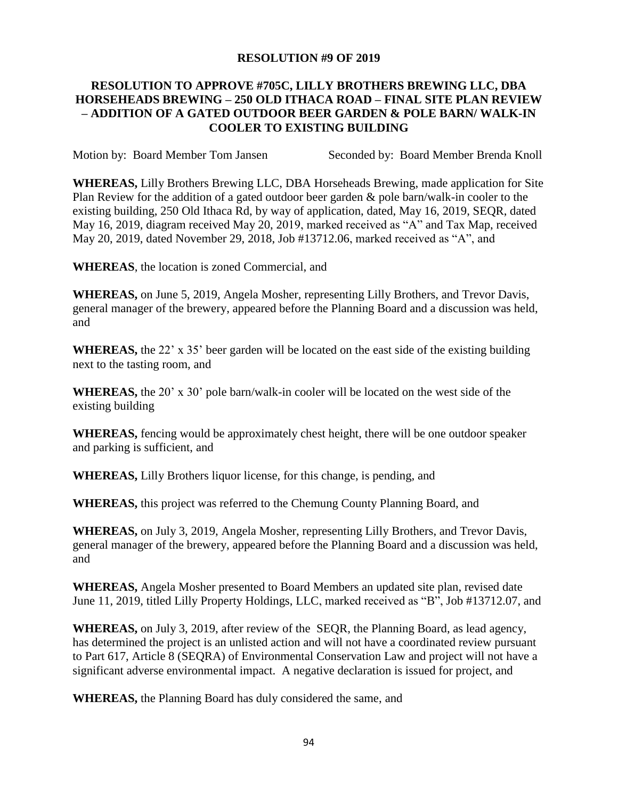### **RESOLUTION #9 OF 2019**

## **RESOLUTION TO APPROVE #705C, LILLY BROTHERS BREWING LLC, DBA HORSEHEADS BREWING – 250 OLD ITHACA ROAD – FINAL SITE PLAN REVIEW – ADDITION OF A GATED OUTDOOR BEER GARDEN & POLE BARN/ WALK-IN COOLER TO EXISTING BUILDING**

Motion by: Board Member Tom Jansen Seconded by: Board Member Brenda Knoll

**WHEREAS,** Lilly Brothers Brewing LLC, DBA Horseheads Brewing, made application for Site Plan Review for the addition of a gated outdoor beer garden & pole barn/walk-in cooler to the existing building, 250 Old Ithaca Rd, by way of application, dated, May 16, 2019, SEQR, dated May 16, 2019, diagram received May 20, 2019, marked received as "A" and Tax Map, received May 20, 2019, dated November 29, 2018, Job #13712.06, marked received as "A", and

**WHEREAS**, the location is zoned Commercial, and

**WHEREAS,** on June 5, 2019, Angela Mosher, representing Lilly Brothers, and Trevor Davis, general manager of the brewery, appeared before the Planning Board and a discussion was held, and

**WHEREAS,** the 22' x 35' beer garden will be located on the east side of the existing building next to the tasting room, and

**WHEREAS,** the 20' x 30' pole barn/walk-in cooler will be located on the west side of the existing building

**WHEREAS,** fencing would be approximately chest height, there will be one outdoor speaker and parking is sufficient, and

**WHEREAS,** Lilly Brothers liquor license, for this change, is pending, and

**WHEREAS,** this project was referred to the Chemung County Planning Board, and

**WHEREAS,** on July 3, 2019, Angela Mosher, representing Lilly Brothers, and Trevor Davis, general manager of the brewery, appeared before the Planning Board and a discussion was held, and

**WHEREAS,** Angela Mosher presented to Board Members an updated site plan, revised date June 11, 2019, titled Lilly Property Holdings, LLC, marked received as "B", Job #13712.07, and

**WHEREAS,** on July 3, 2019, after review of the SEQR, the Planning Board, as lead agency, has determined the project is an unlisted action and will not have a coordinated review pursuant to Part 617, Article 8 (SEQRA) of Environmental Conservation Law and project will not have a significant adverse environmental impact. A negative declaration is issued for project, and

**WHEREAS,** the Planning Board has duly considered the same, and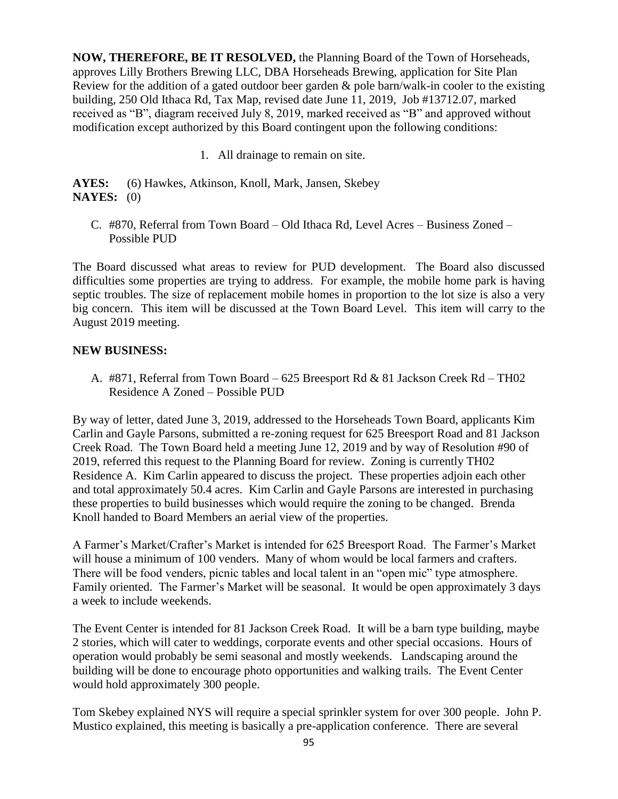**NOW, THEREFORE, BE IT RESOLVED,** the Planning Board of the Town of Horseheads, approves Lilly Brothers Brewing LLC, DBA Horseheads Brewing, application for Site Plan Review for the addition of a gated outdoor beer garden  $\&$  pole barn/walk-in cooler to the existing building, 250 Old Ithaca Rd, Tax Map, revised date June 11, 2019, Job #13712.07, marked received as "B", diagram received July 8, 2019, marked received as "B" and approved without modification except authorized by this Board contingent upon the following conditions:

1. All drainage to remain on site.

**AYES:** (6) Hawkes, Atkinson, Knoll, Mark, Jansen, Skebey **NAYES:** (0)

C. #870, Referral from Town Board – Old Ithaca Rd, Level Acres – Business Zoned – Possible PUD

The Board discussed what areas to review for PUD development. The Board also discussed difficulties some properties are trying to address. For example, the mobile home park is having septic troubles. The size of replacement mobile homes in proportion to the lot size is also a very big concern. This item will be discussed at the Town Board Level. This item will carry to the August 2019 meeting.

## **NEW BUSINESS:**

A. #871, Referral from Town Board – 625 Breesport Rd & 81 Jackson Creek Rd – TH02 Residence A Zoned – Possible PUD

By way of letter, dated June 3, 2019, addressed to the Horseheads Town Board, applicants Kim Carlin and Gayle Parsons, submitted a re-zoning request for 625 Breesport Road and 81 Jackson Creek Road. The Town Board held a meeting June 12, 2019 and by way of Resolution #90 of 2019, referred this request to the Planning Board for review. Zoning is currently TH02 Residence A. Kim Carlin appeared to discuss the project. These properties adjoin each other and total approximately 50.4 acres. Kim Carlin and Gayle Parsons are interested in purchasing these properties to build businesses which would require the zoning to be changed. Brenda Knoll handed to Board Members an aerial view of the properties.

A Farmer's Market/Crafter's Market is intended for 625 Breesport Road. The Farmer's Market will house a minimum of 100 venders. Many of whom would be local farmers and crafters. There will be food venders, picnic tables and local talent in an "open mic" type atmosphere. Family oriented. The Farmer's Market will be seasonal. It would be open approximately 3 days a week to include weekends.

The Event Center is intended for 81 Jackson Creek Road. It will be a barn type building, maybe 2 stories, which will cater to weddings, corporate events and other special occasions. Hours of operation would probably be semi seasonal and mostly weekends. Landscaping around the building will be done to encourage photo opportunities and walking trails. The Event Center would hold approximately 300 people.

Tom Skebey explained NYS will require a special sprinkler system for over 300 people. John P. Mustico explained, this meeting is basically a pre-application conference. There are several